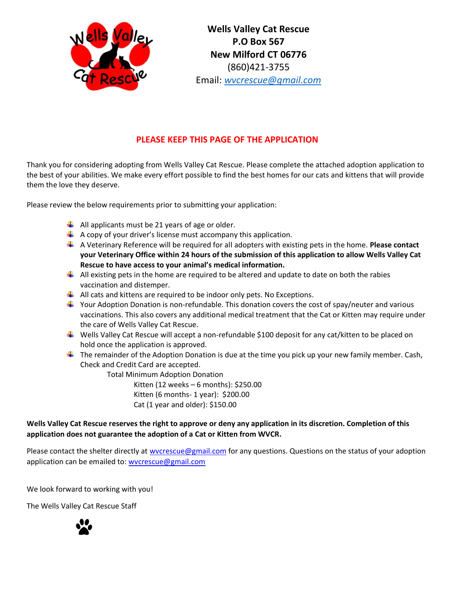

**Wells Valley Cat Rescue P.O Box 567 New Milford CT 06776** (860)421-3755 Email: *[wvcrescue@gmail.com](mailto:wvcrescue@gmail.com)*

### **PLEASE KEEP THIS PAGE OF THE APPLICATION**

Thank you for considering adopting from Wells Valley Cat Rescue. Please complete the attached adoption application to the best of your abilities. We make every effort possible to find the best homes for our cats and kittens that will provide them the love they deserve.

Please review the below requirements prior to submitting your application:

- $\downarrow$  All applicants must be 21 years of age or older.
- $\downarrow$  A copy of your driver's license must accompany this application.
- A Veterinary Reference will be required for all adopters with existing pets in the home. **Please contact your Veterinary Office within 24 hours of the submission of this application to allow Wells Valley Cat Rescue to have access to your animal's medical information.**
- $\downarrow$  All existing pets in the home are required to be altered and update to date on both the rabies vaccination and distemper.
- $\downarrow$  All cats and kittens are required to be indoor only pets. No Exceptions.
- Your Adoption Donation is non-refundable. This donation covers the cost of spay/neuter and various vaccinations. This also covers any additional medical treatment that the Cat or Kitten may require under the care of Wells Valley Cat Rescue.
- Wells Valley Cat Rescue will accept a non-refundable \$100 deposit for any cat/kitten to be placed on hold once the application is approved.
- $\ddagger$  The remainder of the Adoption Donation is due at the time you pick up your new family member. Cash, Check and Credit Card are accepted.

Total Minimum Adoption Donation

Kitten (12 weeks – 6 months): \$250.00 Kitten (6 months- 1 year): \$200.00 Cat (1 year and older): \$150.00

#### **Wells Valley Cat Rescue reserves the right to approve or deny any application in its discretion. Completion of this application does not guarantee the adoption of a Cat or Kitten from WVCR.**

Please contact the shelter directly at wvcrescue@gmail.com for any questions. Questions on the status of your adoption application can be emailed to: wvcrescue@gmail.com

We look forward to working with you!

The Wells Valley Cat Rescue Staff

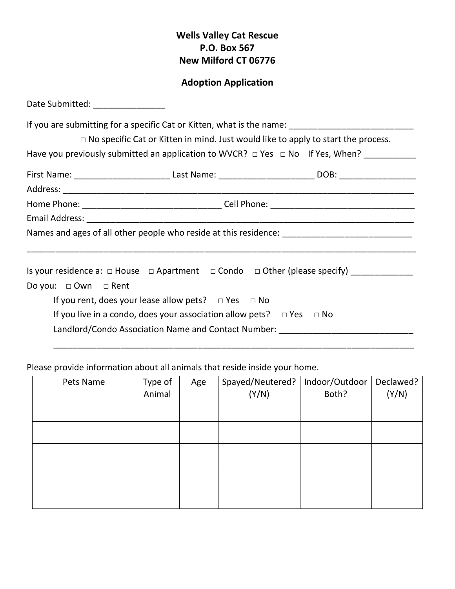# **Wells Valley Cat Rescue P.O. Box 567 New Milford CT 06776**

## **Adoption Application**

| Date Submitted: _________________ |                                                                                |                                                                                                                                                                                                                                                                                              |
|-----------------------------------|--------------------------------------------------------------------------------|----------------------------------------------------------------------------------------------------------------------------------------------------------------------------------------------------------------------------------------------------------------------------------------------|
|                                   |                                                                                | If you are submitting for a specific Cat or Kitten, what is the name: ______________________________<br>$\Box$ No specific Cat or Kitten in mind. Just would like to apply to start the process.<br>Have you previously submitted an application to WVCR? $\Box$ Yes $\Box$ No If Yes, When? |
|                                   |                                                                                | First Name: ______________________________Last Name: ____________________________DOB: ________________________                                                                                                                                                                               |
|                                   |                                                                                |                                                                                                                                                                                                                                                                                              |
|                                   |                                                                                |                                                                                                                                                                                                                                                                                              |
|                                   |                                                                                |                                                                                                                                                                                                                                                                                              |
|                                   |                                                                                | Names and ages of all other people who reside at this residence: ___________________________________                                                                                                                                                                                         |
| Do you: $\Box$ Own $\Box$ Rent    |                                                                                | Is your residence a: $\Box$ House $\Box$ Apartment $\Box$ Condo $\Box$ Other (please specify)                                                                                                                                                                                                |
|                                   | If you rent, does your lease allow pets? $\Box$ Yes $\Box$ No                  |                                                                                                                                                                                                                                                                                              |
|                                   | If you live in a condo, does your association allow pets? $\Box$ Yes $\Box$ No | Landlord/Condo Association Name and Contact Number: ____________________________                                                                                                                                                                                                             |

Please provide information about all animals that reside inside your home.

| Pets Name | Type of | Age | Spayed/Neutered? | Indoor/Outdoor | Declawed? |
|-----------|---------|-----|------------------|----------------|-----------|
|           | Animal  |     | (Y/N)            | Both?          | (Y/N)     |
|           |         |     |                  |                |           |
|           |         |     |                  |                |           |
|           |         |     |                  |                |           |
|           |         |     |                  |                |           |
|           |         |     |                  |                |           |
|           |         |     |                  |                |           |
|           |         |     |                  |                |           |
|           |         |     |                  |                |           |
|           |         |     |                  |                |           |
|           |         |     |                  |                |           |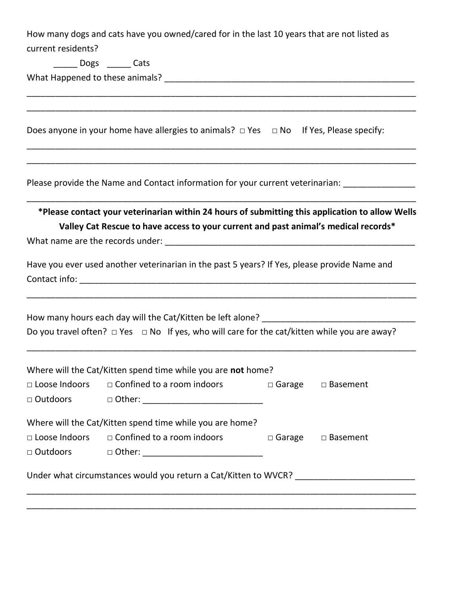How many dogs and cats have you owned/cared for in the last 10 years that are not listed as current residents?

\_\_\_\_\_\_\_\_\_\_\_\_\_\_\_\_\_\_\_\_\_\_\_\_\_\_\_\_\_\_\_\_\_\_\_\_\_\_\_\_\_\_\_\_\_\_\_\_\_\_\_\_\_\_\_\_\_\_\_\_\_\_\_\_\_\_\_\_\_\_\_\_\_\_\_\_\_\_\_\_\_ \_\_\_\_\_\_\_\_\_\_\_\_\_\_\_\_\_\_\_\_\_\_\_\_\_\_\_\_\_\_\_\_\_\_\_\_\_\_\_\_\_\_\_\_\_\_\_\_\_\_\_\_\_\_\_\_\_\_\_\_\_\_\_\_\_\_\_\_\_\_\_\_\_\_\_\_\_\_\_\_\_

\_\_\_\_\_\_\_\_\_\_\_\_\_\_\_\_\_\_\_\_\_\_\_\_\_\_\_\_\_\_\_\_\_\_\_\_\_\_\_\_\_\_\_\_\_\_\_\_\_\_\_\_\_\_\_\_\_\_\_\_\_\_\_\_\_\_\_\_\_\_\_\_\_\_\_\_\_\_\_\_\_ \_\_\_\_\_\_\_\_\_\_\_\_\_\_\_\_\_\_\_\_\_\_\_\_\_\_\_\_\_\_\_\_\_\_\_\_\_\_\_\_\_\_\_\_\_\_\_\_\_\_\_\_\_\_\_\_\_\_\_\_\_\_\_\_\_\_\_\_\_\_\_\_\_\_\_\_\_\_\_\_\_

\_\_\_\_\_ Dogs \_\_\_\_\_ Cats

What Happened to these animals? \_\_\_\_\_\_\_\_\_\_\_\_\_\_\_\_\_\_\_\_\_\_\_\_\_\_\_\_\_\_\_\_\_\_\_\_\_\_\_\_\_\_\_\_\_\_\_\_\_\_\_\_

Does anyone in your home have allergies to animals?  $\Box$  Yes  $\Box$  No If Yes, Please specify:

Please provide the Name and Contact information for your current veterinarian:

**\*Please contact your veterinarian within 24 hours of submitting this application to allow Wells Valley Cat Rescue to have access to your current and past animal's medical records\***

\_\_\_\_\_\_\_\_\_\_\_\_\_\_\_\_\_\_\_\_\_\_\_\_\_\_\_\_\_\_\_\_\_\_\_\_\_\_\_\_\_\_\_\_\_\_\_\_\_\_\_\_\_\_\_\_\_\_\_\_\_\_\_\_\_\_\_\_\_\_\_\_\_\_\_\_\_\_\_\_\_

What name are the records under: \_\_\_\_\_\_\_\_\_\_\_\_\_\_\_\_\_\_\_\_\_\_\_\_\_\_\_\_\_\_\_\_\_\_\_\_\_\_\_\_\_\_\_\_\_\_\_\_\_\_\_\_

Have you ever used another veterinarian in the past 5 years? If Yes, please provide Name and Contact info: \_\_\_\_\_\_\_\_\_\_\_\_\_\_\_\_\_\_\_\_\_\_\_\_\_\_\_\_\_\_\_\_\_\_\_\_\_\_\_\_\_\_\_\_\_\_\_\_\_\_\_\_\_\_\_\_\_\_\_\_\_\_\_\_\_\_\_\_\_\_

How many hours each day will the Cat/Kitten be left alone? \_\_\_\_\_\_\_\_\_\_\_\_\_\_\_\_\_\_\_\_\_\_\_\_\_\_\_\_\_\_\_\_ Do you travel often?  $\Box$  Yes  $\Box$  No If yes, who will care for the cat/kitten while you are away?

\_\_\_\_\_\_\_\_\_\_\_\_\_\_\_\_\_\_\_\_\_\_\_\_\_\_\_\_\_\_\_\_\_\_\_\_\_\_\_\_\_\_\_\_\_\_\_\_\_\_\_\_\_\_\_\_\_\_\_\_\_\_\_\_\_\_\_\_\_\_\_\_\_\_\_\_\_\_\_\_\_

\_\_\_\_\_\_\_\_\_\_\_\_\_\_\_\_\_\_\_\_\_\_\_\_\_\_\_\_\_\_\_\_\_\_\_\_\_\_\_\_\_\_\_\_\_\_\_\_\_\_\_\_\_\_\_\_\_\_\_\_\_\_\_\_\_\_\_\_\_\_\_\_\_\_\_\_\_\_\_\_\_

| Where will the Cat/Kitten spend time while you are not home?    |                                                          |                  |                    |  |
|-----------------------------------------------------------------|----------------------------------------------------------|------------------|--------------------|--|
| $\Box$ Loose Indoors                                            | $\Box$ Confined to a room indoors                        | $\square$ Garage | $\square$ Basement |  |
| □ Outdoors                                                      | $\Box$ Other:                                            |                  |                    |  |
|                                                                 | Where will the Cat/Kitten spend time while you are home? |                  |                    |  |
| $\Box$ Loose Indoors                                            | □ Confined to a room indoors                             | $\Box$ Garage    | □ Basement         |  |
| □ Outdoors                                                      | □ Other: _________________________                       |                  |                    |  |
| Under what circumstances would you return a Cat/Kitten to WVCR? |                                                          |                  |                    |  |
|                                                                 |                                                          |                  |                    |  |

\_\_\_\_\_\_\_\_\_\_\_\_\_\_\_\_\_\_\_\_\_\_\_\_\_\_\_\_\_\_\_\_\_\_\_\_\_\_\_\_\_\_\_\_\_\_\_\_\_\_\_\_\_\_\_\_\_\_\_\_\_\_\_\_\_\_\_\_\_\_\_\_\_\_\_\_\_\_\_\_\_